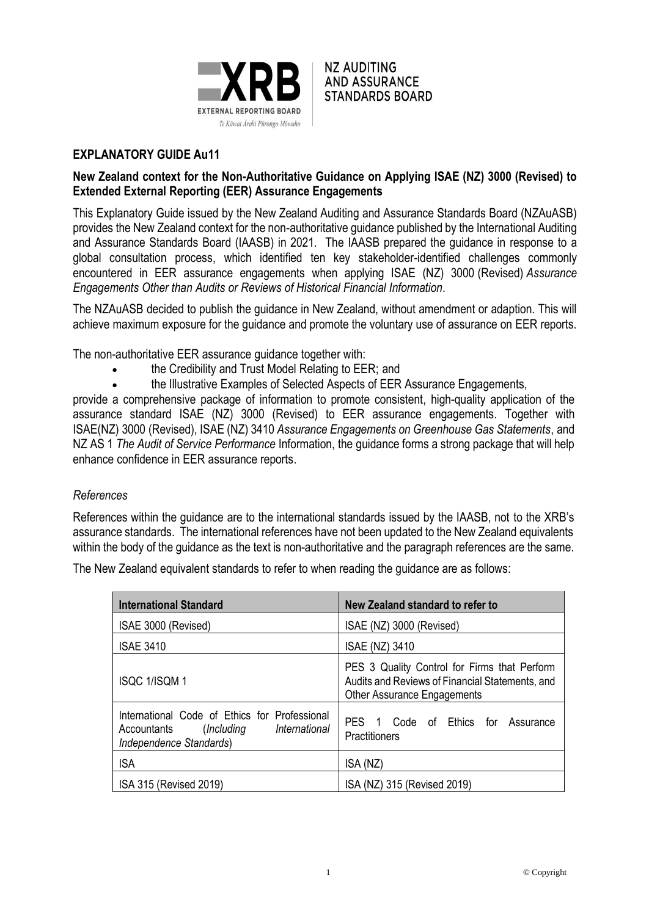

**NZ AUDITING AND ASSURANCE STANDARDS BOARD** 

# **EXPLANATORY GUIDE Au11**

## **New Zealand context for the Non-Authoritative Guidance on Applying ISAE (NZ) 3000 (Revised) to Extended External Reporting (EER) Assurance Engagements**

This Explanatory Guide issued by the New Zealand Auditing and Assurance Standards Board (NZAuASB) provides the New Zealand context for the non-authoritative guidance published by the International Auditing and Assurance Standards Board (IAASB) in 2021. The IAASB prepared the guidance in response to a global consultation process, which identified ten key stakeholder-identified challenges commonly encountered in EER assurance engagements when applying ISAE (NZ) 3000 (Revised) *Assurance Engagements Other than Audits or Reviews of Historical Financial Information*.

The NZAuASB decided to publish the guidance in New Zealand, without amendment or adaption. This will achieve maximum exposure for the guidance and promote the voluntary use of assurance on EER reports.

The non-authoritative EER assurance guidance together with:

- the Credibility and Trust Model Relating to EER; and
- the Illustrative Examples of Selected Aspects of EER Assurance Engagements,

provide a comprehensive package of information to promote consistent, high-quality application of the assurance standard ISAE (NZ) 3000 (Revised) to EER assurance engagements. Together with ISAE(NZ) 3000 (Revised), ISAE (NZ) 3410 *Assurance Engagements on Greenhouse Gas Statements*, and NZ AS 1 *The Audit of Service Performance* Information, the guidance forms a strong package that will help enhance confidence in EER assurance reports.

## *References*

References within the guidance are to the international standards issued by the IAASB, not to the XRB's assurance standards. The international references have not been updated to the New Zealand equivalents within the body of the guidance as the text is non-authoritative and the paragraph references are the same.

The New Zealand equivalent standards to refer to when reading the guidance are as follows:

| <b>International Standard</b>                                                                                       | New Zealand standard to refer to                                                                                                      |
|---------------------------------------------------------------------------------------------------------------------|---------------------------------------------------------------------------------------------------------------------------------------|
| ISAE 3000 (Revised)                                                                                                 | ISAE (NZ) 3000 (Revised)                                                                                                              |
| <b>ISAE 3410</b>                                                                                                    | <b>ISAE (NZ) 3410</b>                                                                                                                 |
| <b>ISQC 1/ISQM 1</b>                                                                                                | PES 3 Quality Control for Firms that Perform<br>Audits and Reviews of Financial Statements, and<br><b>Other Assurance Engagements</b> |
| International Code of Ethics for Professional<br>(Including International<br>Accountants<br>Independence Standards) | PES 1 Code of Ethics for<br>Assurance<br>Practitioners                                                                                |
| <b>ISA</b>                                                                                                          | ISA (NZ)                                                                                                                              |
| ISA 315 (Revised 2019)                                                                                              | ISA (NZ) 315 (Revised 2019)                                                                                                           |